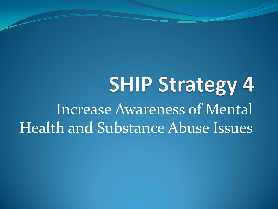**SHIP Strategy 4** Increase Awareness of Mental Health and Substance Abuse Issues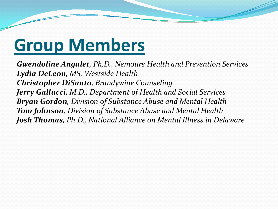# **Group Members**

*Gwendoline Angalet, Ph.D., Nemours Health and Prevention Services Lydia DeLeon, MS, Westside Health Christopher DiSanto, Brandywine Counseling Jerry Gallucci, M.D., Department of Health and Social Services Bryan Gordon, Division of Substance Abuse and Mental Health Tom Johnson, Division of Substance Abuse and Mental Health Josh Thomas, Ph.D., National Alliance on Mental Illness in Delaware*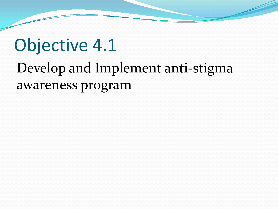#### Objective 4.1 Develop and Implement anti-stigma awareness program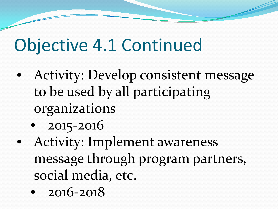# Objective 4.1 Continued

- Activity: Develop consistent message to be used by all participating organizations
	- 2015-2016
- Activity: Implement awareness message through program partners, social media, etc.
	- 2016-2018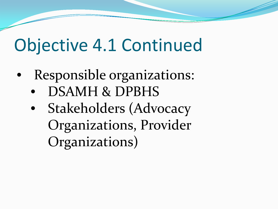# Objective 4.1 Continued

- Responsible organizations:
	- DSAMH & DPBHS
	- Stakeholders (Advocacy Organizations, Provider Organizations)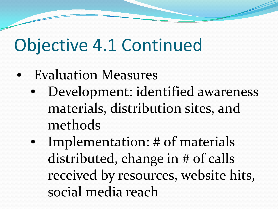# Objective 4.1 Continued

- Evaluation Measures
	- Development: identified awareness materials, distribution sites, and methods
	- Implementation: # of materials distributed, change in # of calls received by resources, website hits, social media reach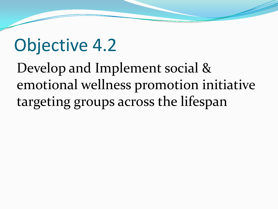#### Objective 4.2

Develop and Implement social & emotional wellness promotion initiative targeting groups across the lifespan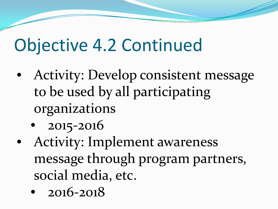# Objective 4.2 Continued

- Activity: Develop consistent message to be used by all participating organizations
	- 2015-2016
- Activity: Implement awareness message through program partners, social media, etc.
	- 2016-2018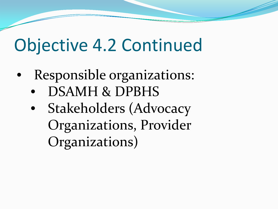# Objective 4.2 Continued

- Responsible organizations:
	- DSAMH & DPBHS
	- Stakeholders (Advocacy Organizations, Provider Organizations)